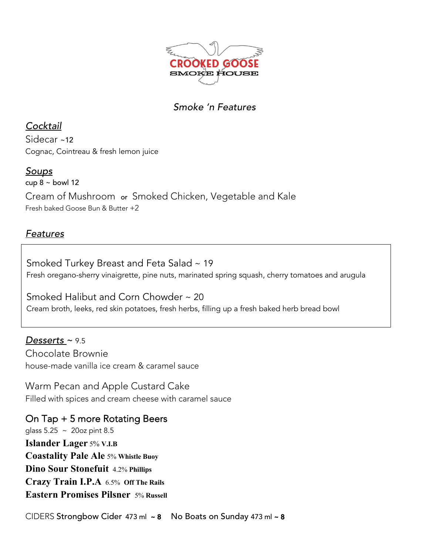

# *Smoke 'n Features*

*Cocktail* Sidecar ~12 Cognac, Cointreau & fresh lemon juice

## *Soups*

cup  $8 \sim$  bowl 12 Cream of Mushroom or Smoked Chicken, Vegetable and Kale Fresh baked Goose Bun & Butter +2

# *Features*

Smoked Turkey Breast and Feta Salad~ 19 Fresh oregano-sherry vinaigrette, pine nuts, marinated spring squash, cherry tomatoes and arugula

Smoked Halibut and Corn Chowder ~ 20 Cream broth, leeks, red skin potatoes, fresh herbs, filling up a fresh baked herb bread bowl

*Desserts* ~ 9.5 Chocolate Brownie house-made vanilla ice cream & caramel sauce

Warm Pecan and Apple Custard Cake Filled with spices and cream cheese with caramel sauce

On Tap + 5 more Rotating Beers glass 5.25 ~ 20oz pint 8.5 **Islander Lager** 5% **V.I.B Coastality Pale Ale** 5% **Whistle Buoy Dino Sour Stonefuit** 4.2% **Phillips Crazy Train I.P.A** 6.5% **Off The Rails Eastern Promises Pilsner** 5% **Russell**

CIDERS Strongbow Cider 473 ml ~ 8 No Boats on Sunday 473 ml ~ 8